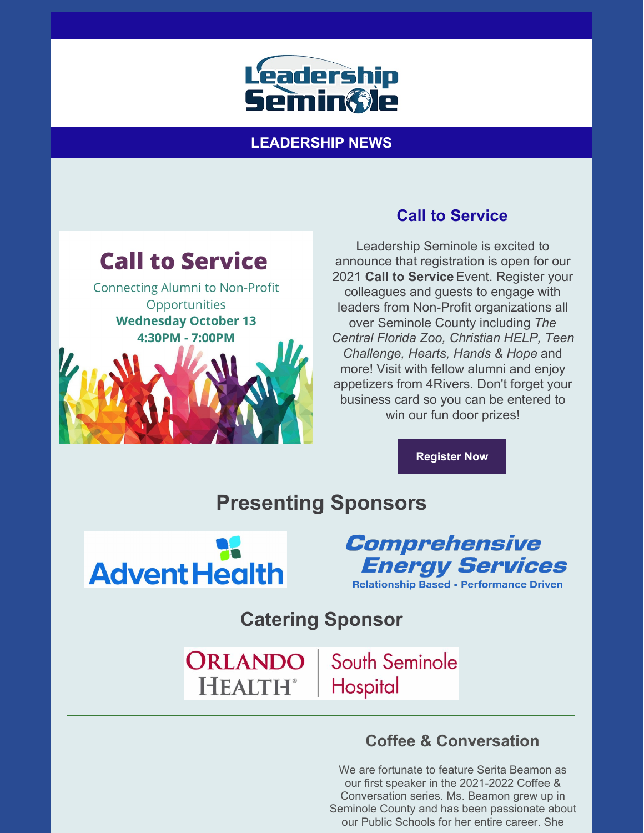

**LEADERSHIP NEWS**



**Connecting Alumni to Non-Profit** Opportunities **Wednesday October 13** 4:30PM - 7:00PM



## **Call to Service**

Leadership Seminole is excited to announce that registration is open for our 2021 **Call to Service**Event. Register your colleagues and guests to engage with leaders from Non-Profit organizations all over Seminole County including *The Central Florida Zoo, Christian HELP, Teen Challenge, Hearts, Hands & Hope* and more! Visit with fellow alumni and enjoy appetizers from 4Rivers. Don't forget your business card so you can be entered to win our fun door prizes!

**[Register](https://leadershipseminole.org/event/call-to-service/) Now**

**Presenting Sponsors**



Comprehensive **Energy Services Relationship Based - Performance Driven** 

**Catering Sponsor**

ORLANDO **HEALTH**<sup>®</sup>

South Seminole Hospital

## **Coffee & Conversation**

We are fortunate to feature Serita Beamon as our first speaker in the 2021-2022 Coffee & Conversation series. Ms. Beamon grew up in Seminole County and has been passionate about our Public Schools for her entire career. She